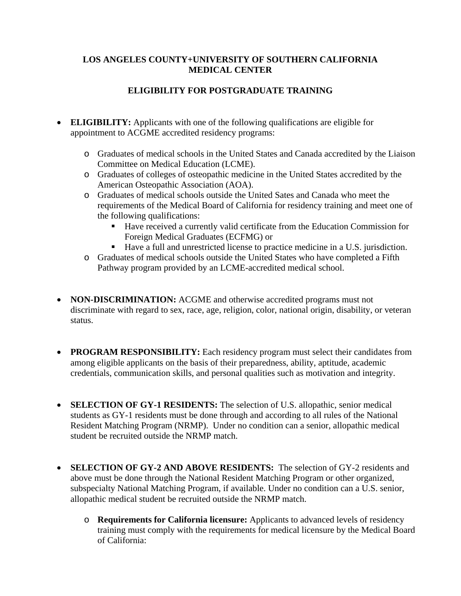### **LOS ANGELES COUNTY+UNIVERSITY OF SOUTHERN CALIFORNIA MEDICAL CENTER**

# **ELIGIBILITY FOR POSTGRADUATE TRAINING**

- **ELIGIBILITY:** Applicants with one of the following qualifications are eligible for appointment to ACGME accredited residency programs:
	- o Graduates of medical schools in the United States and Canada accredited by the Liaison Committee on Medical Education (LCME).
	- o Graduates of colleges of osteopathic medicine in the United States accredited by the American Osteopathic Association (AOA).
	- o Graduates of medical schools outside the United Sates and Canada who meet the requirements of the Medical Board of California for residency training and meet one of the following qualifications:
		- Have received a currently valid certificate from the Education Commission for Foreign Medical Graduates (ECFMG) or
		- Have a full and unrestricted license to practice medicine in a U.S. jurisdiction.
	- o Graduates of medical schools outside the United States who have completed a Fifth Pathway program provided by an LCME-accredited medical school.
- **NON-DISCRIMINATION:** ACGME and otherwise accredited programs must not discriminate with regard to sex, race, age, religion, color, national origin, disability, or veteran status.
- **PROGRAM RESPONSIBILITY:** Each residency program must select their candidates from among eligible applicants on the basis of their preparedness, ability, aptitude, academic credentials, communication skills, and personal qualities such as motivation and integrity.
- **SELECTION OF GY-1 RESIDENTS:** The selection of U.S. allopathic, senior medical students as GY-1 residents must be done through and according to all rules of the National Resident Matching Program (NRMP). Under no condition can a senior, allopathic medical student be recruited outside the NRMP match.
- **SELECTION OF GY-2 AND ABOVE RESIDENTS:** The selection of GY-2 residents and above must be done through the National Resident Matching Program or other organized, subspecialty National Matching Program, if available. Under no condition can a U.S. senior, allopathic medical student be recruited outside the NRMP match.
	- o **Requirements for California licensure:** Applicants to advanced levels of residency training must comply with the requirements for medical licensure by the Medical Board of California: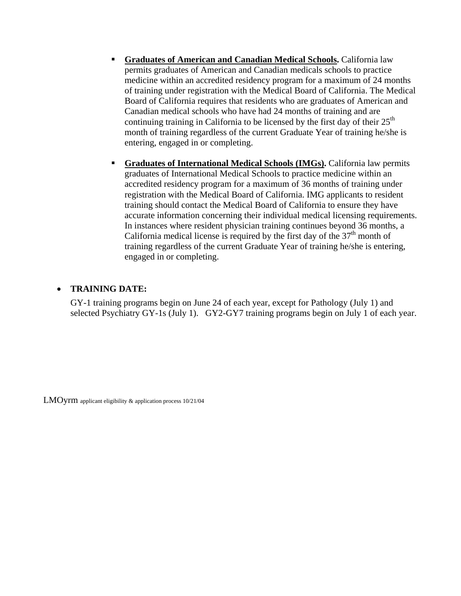- **Graduates of American and Canadian Medical Schools.** California law permits graduates of American and Canadian medicals schools to practice medicine within an accredited residency program for a maximum of 24 months of training under registration with the Medical Board of California. The Medical Board of California requires that residents who are graduates of American and Canadian medical schools who have had 24 months of training and are continuing training in California to be licensed by the first day of their  $25<sup>th</sup>$ month of training regardless of the current Graduate Year of training he/she is entering, engaged in or completing.
- **Graduates of International Medical Schools (IMGs).** California law permits graduates of International Medical Schools to practice medicine within an accredited residency program for a maximum of 36 months of training under registration with the Medical Board of California. IMG applicants to resident training should contact the Medical Board of California to ensure they have accurate information concerning their individual medical licensing requirements. In instances where resident physician training continues beyond 36 months, a California medical license is required by the first day of the  $37<sup>th</sup>$  month of training regardless of the current Graduate Year of training he/she is entering, engaged in or completing.

#### • **TRAINING DATE:**

GY-1 training programs begin on June 24 of each year, except for Pathology (July 1) and selected Psychiatry GY-1s (July 1). GY2-GY7 training programs begin on July 1 of each year.

LMOyrm applicant eligibility & application process 10/21/04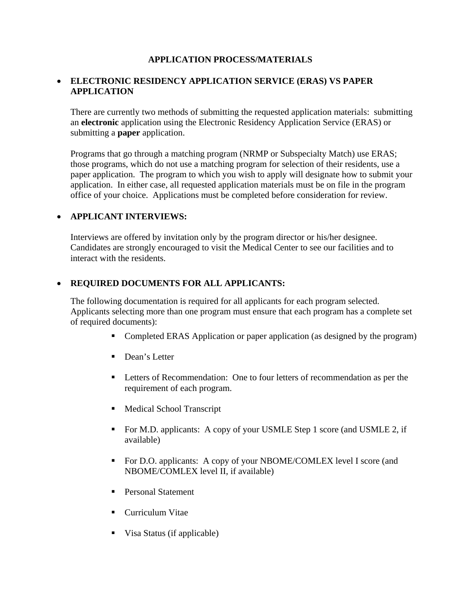### **APPLICATION PROCESS/MATERIALS**

### • **ELECTRONIC RESIDENCY APPLICATION SERVICE (ERAS) VS PAPER APPLICATION**

There are currently two methods of submitting the requested application materials: submitting an **electronic** application using the Electronic Residency Application Service (ERAS) or submitting a **paper** application.

Programs that go through a matching program (NRMP or Subspecialty Match) use ERAS; those programs, which do not use a matching program for selection of their residents, use a paper application. The program to which you wish to apply will designate how to submit your application. In either case, all requested application materials must be on file in the program office of your choice. Applications must be completed before consideration for review.

#### • **APPLICANT INTERVIEWS:**

Interviews are offered by invitation only by the program director or his/her designee. Candidates are strongly encouraged to visit the Medical Center to see our facilities and to interact with the residents.

#### • **REQUIRED DOCUMENTS FOR ALL APPLICANTS:**

The following documentation is required for all applicants for each program selected. Applicants selecting more than one program must ensure that each program has a complete set of required documents):

- Completed ERAS Application or paper application (as designed by the program)
- Dean's Letter
- Letters of Recommendation: One to four letters of recommendation as per the requirement of each program.
- **Medical School Transcript**
- For M.D. applicants: A copy of your USMLE Step 1 score (and USMLE 2, if available)
- For D.O. applicants: A copy of your NBOME/COMLEX level I score (and NBOME/COMLEX level II, if available)
- Personal Statement
- **Curriculum Vitae**
- Visa Status (if applicable)